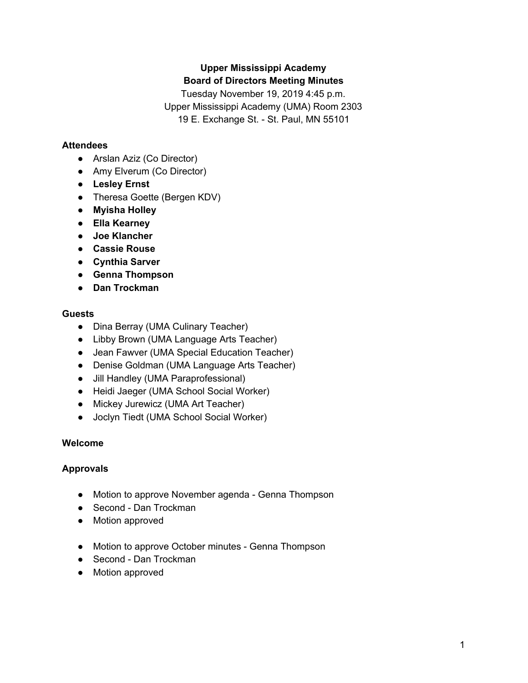# **Upper Mississippi Academy Board of Directors Meeting Minutes**

Tuesday November 19, 2019 4:45 p.m. Upper Mississippi Academy (UMA) Room 2303 19 E. Exchange St. - St. Paul, MN 55101

# **Attendees**

- Arslan Aziz (Co Director)
- Amy Elverum (Co Director)
- **● Lesley Ernst**
- Theresa Goette (Bergen KDV)
- **● Myisha Holley**
- **● Ella Kearney**
- **● Joe Klancher**
- **● Cassie Rouse**
- **● Cynthia Sarver**
- **● Genna Thompson**
- **● Dan Trockman**

## **Guests**

- Dina Berray (UMA Culinary Teacher)
- Libby Brown (UMA Language Arts Teacher)
- Jean Fawver (UMA Special Education Teacher)
- Denise Goldman (UMA Language Arts Teacher)
- Jill Handley (UMA Paraprofessional)
- Heidi Jaeger (UMA School Social Worker)
- Mickey Jurewicz (UMA Art Teacher)
- Joclyn Tiedt (UMA School Social Worker)

# **Welcome**

# **Approvals**

- Motion to approve November agenda Genna Thompson
- Second Dan Trockman
- Motion approved
- Motion to approve October minutes Genna Thompson
- Second Dan Trockman
- Motion approved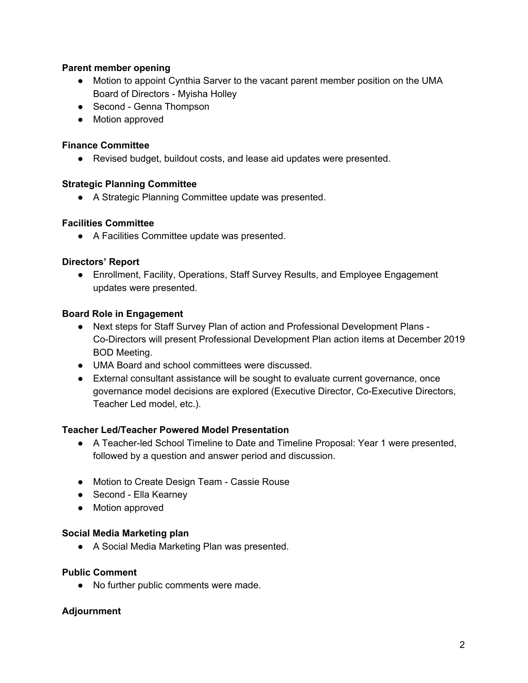# **Parent member opening**

- Motion to appoint Cynthia Sarver to the vacant parent member position on the UMA Board of Directors - Myisha Holley
- Second Genna Thompson
- Motion approved

#### **Finance Committee**

● Revised budget, buildout costs, and lease aid updates were presented.

#### **Strategic Planning Committee**

● A Strategic Planning Committee update was presented.

## **Facilities Committee**

● A Facilities Committee update was presented.

## **Directors' Report**

● Enrollment, Facility, Operations, Staff Survey Results, and Employee Engagement updates were presented.

## **Board Role in Engagement**

- Next steps for Staff Survey Plan of action and Professional Development Plans Co-Directors will present Professional Development Plan action items at December 2019 BOD Meeting.
- UMA Board and school committees were discussed.
- External consultant assistance will be sought to evaluate current governance, once governance model decisions are explored (Executive Director, Co-Executive Directors, Teacher Led model, etc.).

# **Teacher Led/Teacher Powered Model Presentation**

- A Teacher-led School Timeline to Date and Timeline Proposal: Year 1 were presented, followed by a question and answer period and discussion.
- Motion to Create Design Team Cassie Rouse
- Second Ella Kearney
- Motion approved

#### **Social Media Marketing plan**

● A Social Media Marketing Plan was presented.

#### **Public Comment**

● No further public comments were made.

# **Adjournment**